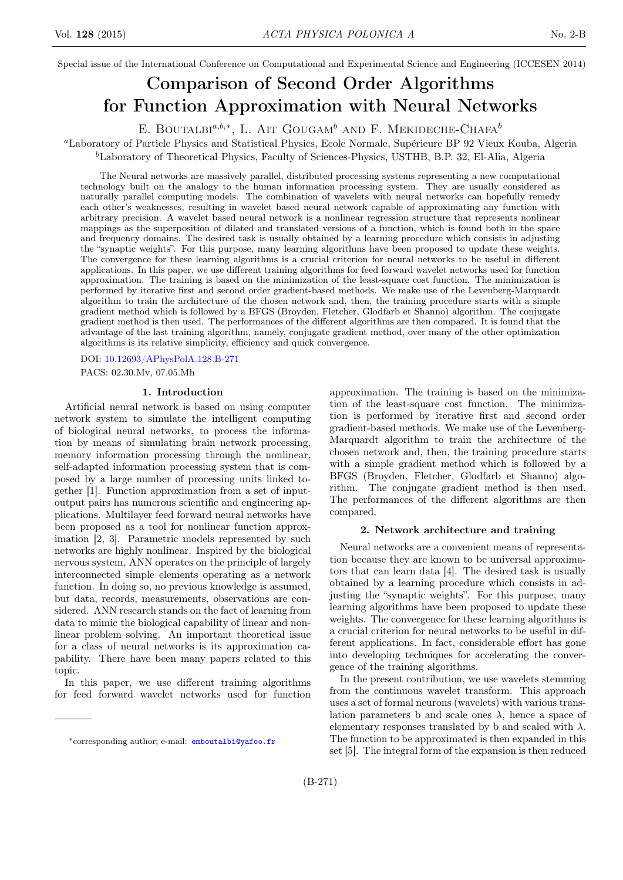Special issue of the International Conference on Computational and Experimental Science and Engineering (ICCESEN 2014)

# Comparison of Second Order Algorithms for Function Approximation with Neural Networks

E. BOUTALBI<sup> $a,b,*$ </sup>, L. AIT GOUGAM<sup>b</sup> AND F. MEKIDECHE-CHAFA<sup>b</sup>

<sup>a</sup>Laboratory of Particle Physics and Statistical Physics, Ecole Normale, Supérieure BP 92 Vieux Kouba, Algeria  ${}^{b}$ Laboratory of Theoretical Physics, Faculty of Sciences-Physics, USTHB, B.P. 32, El-Alia, Algeria

The Neural networks are massively parallel, distributed processing systems representing a new computational technology built on the analogy to the human information processing system. They are usually considered as naturally parallel computing models. The combination of wavelets with neural networks can hopefully remedy each other's weaknesses, resulting in wavelet based neural network capable of approximating any function with arbitrary precision. A wavelet based neural network is a nonlinear regression structure that represents nonlinear mappings as the superposition of dilated and translated versions of a function, which is found both in the space and frequency domains. The desired task is usually obtained by a learning procedure which consists in adjusting the "synaptic weights". For this purpose, many learning algorithms have been proposed to update these weights. The convergence for these learning algorithms is a crucial criterion for neural networks to be useful in different applications. In this paper, we use different training algorithms for feed forward wavelet networks used for function approximation. The training is based on the minimization of the least-square cost function. The minimization is performed by iterative first and second order gradient-based methods. We make use of the Levenberg-Marquardt algorithm to train the architecture of the chosen network and, then, the training procedure starts with a simple gradient method which is followed by a BFGS (Broyden, Fletcher, Glodfarb et Shanno) algorithm. The conjugate gradient method is then used. The performances of the different algorithms are then compared. It is found that the advantage of the last training algorithm, namely, conjugate gradient method, over many of the other optimization algorithms is its relative simplicity, efficiency and quick convergence.

DOI: [10.12693/APhysPolA.128.B-271](http://dx.doi.org/10.12693/APhysPolA.128.B-271)

PACS: 02.30.Mv, 07.05.Mh

#### 1. Introduction

Artificial neural network is based on using computer network system to simulate the intelligent computing of biological neural networks, to process the information by means of simulating brain network processing, memory information processing through the nonlinear, self-adapted information processing system that is composed by a large number of processing units linked together [1]. Function approximation from a set of inputoutput pairs has numerous scientific and engineering applications. Multilayer feed forward neural networks have been proposed as a tool for nonlinear function approximation [2, 3]. Parametric models represented by such networks are highly nonlinear. Inspired by the biological nervous system, ANN operates on the principle of largely interconnected simple elements operating as a network function. In doing so, no previous knowledge is assumed, but data, records, measurements, observations are considered. ANN research stands on the fact of learning from data to mimic the biological capability of linear and nonlinear problem solving. An important theoretical issue for a class of neural networks is its approximation capability. There have been many papers related to this topic.

In this paper, we use different training algorithms for feed forward wavelet networks used for function

approximation. The training is based on the minimization of the least-square cost function. The minimization is performed by iterative first and second order gradient-based methods. We make use of the Levenberg-Marquardt algorithm to train the architecture of the chosen network and, then, the training procedure starts with a simple gradient method which is followed by a BFGS (Broyden, Fletcher, Glodfarb et Shanno) algorithm. The conjugate gradient method is then used. The performances of the different algorithms are then compared.

#### 2. Network architecture and training

Neural networks are a convenient means of representation because they are known to be universal approximators that can learn data [4]. The desired task is usually obtained by a learning procedure which consists in adjusting the "synaptic weights". For this purpose, many learning algorithms have been proposed to update these weights. The convergence for these learning algorithms is a crucial criterion for neural networks to be useful in different applications. In fact, considerable effort has gone into developing techniques for accelerating the convergence of the training algorithms.

In the present contribution, we use wavelets stemming from the continuous wavelet transform. This approach uses a set of formal neurons (wavelets) with various translation parameters b and scale ones  $\lambda$ , hence a space of elementary responses translated by b and scaled with  $\lambda$ . The function to be approximated is then expanded in this set [5]. The integral form of the expansion is then reduced

<sup>∗</sup>corresponding author; e-mail: [emboutalbi@yafoo.fr](mailto:emboutalbi@yafoo.fr)